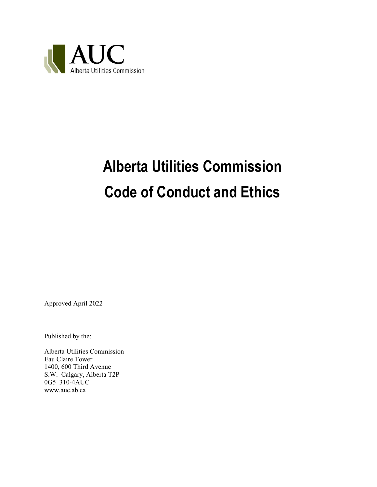

# **Alberta Utilities Commission Code of Conduct and Ethics**

Approved April 2022

Published by the:

Alberta Utilities Commission Eau Claire Tower 1400, 600 Third Avenue S.W. Calgary, Alberta T2P 0G5 310-4AUC www.auc.ab.ca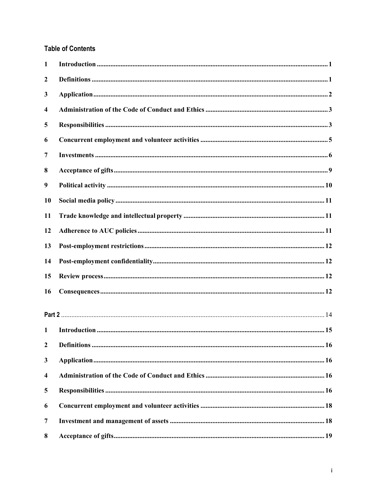### **Table of Contents**

| $\mathbf{1}$     |  |
|------------------|--|
| $\boldsymbol{2}$ |  |
| 3                |  |
| 4                |  |
| 5                |  |
| 6                |  |
| 7                |  |
| 8                |  |
| 9                |  |
| <b>10</b>        |  |
| 11               |  |
| 12               |  |
| 13               |  |
| 14               |  |
| 15               |  |
| 16               |  |
|                  |  |
| $\mathbf{1}$     |  |
| $\boldsymbol{2}$ |  |
| 3                |  |
| 4                |  |
| 5                |  |
| 6                |  |
| $\overline{7}$   |  |
| 8                |  |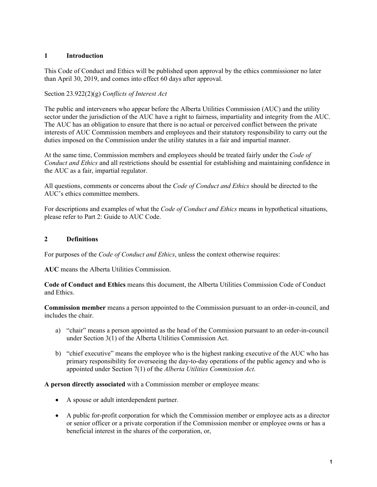#### **1 Introduction**

This Code of Conduct and Ethics will be published upon approval by the ethics commissioner no later than April 30, 2019, and comes into effect 60 days after approval.

#### Section 23.922(2)(g) *Conflicts of Interest Act*

The public and interveners who appear before the Alberta Utilities Commission (AUC) and the utility sector under the jurisdiction of the AUC have a right to fairness, impartiality and integrity from the AUC. The AUC has an obligation to ensure that there is no actual or perceived conflict between the private interests of AUC Commission members and employees and their statutory responsibility to carry out the duties imposed on the Commission under the utility statutes in a fair and impartial manner.

At the same time, Commission members and employees should be treated fairly under the *Code of Conduct and Ethics* and all restrictions should be essential for establishing and maintaining confidence in the AUC as a fair, impartial regulator.

All questions, comments or concerns about the *Code of Conduct and Ethics* should be directed to the AUC's ethics committee members.

For descriptions and examples of what the *Code of Conduct and Ethics* means in hypothetical situations, please refer to Part 2: Guide to AUC Code.

#### **2 Definitions**

For purposes of the *Code of Conduct and Ethics*, unless the context otherwise requires:

**AUC** means the Alberta Utilities Commission.

**Code of Conduct and Ethics** means this document, the Alberta Utilities Commission Code of Conduct and Ethics.

**Commission member** means a person appointed to the Commission pursuant to an order-in-council, and includes the chair.

- a) "chair" means a person appointed as the head of the Commission pursuant to an order-in-council under Section 3(1) of the Alberta Utilities Commission Act.
- b) "chief executive" means the employee who is the highest ranking executive of the AUC who has primary responsibility for overseeing the day-to-day operations of the public agency and who is appointed under Section 7(1) of the *Alberta Utilities Commission Act*.

**A person directly associated** with a Commission member or employee means:

- A spouse or adult interdependent partner.
- A public for-profit corporation for which the Commission member or employee acts as a director or senior officer or a private corporation if the Commission member or employee owns or has a beneficial interest in the shares of the corporation, or,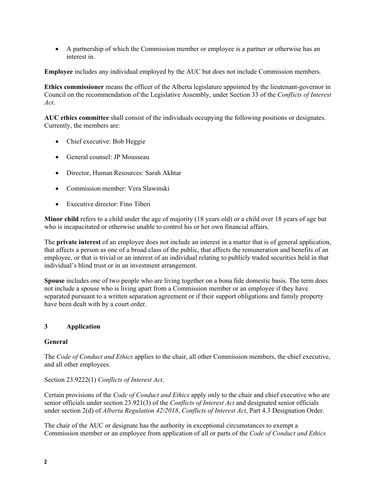A partnership of which the Commission member or employee is a partner or otherwise has an interest in.

**Employee** includes any individual employed by the AUC but does not include Commission members.

**Ethics commissioner** means the officer of the Alberta legislature appointed by the lieutenant-governor in Council on the recommendation of the Legislative Assembly, under Section 33 of the *Conflicts of Interest Act*.

**AUC ethics committee** shall consist of the individuals occupying the following positions or designates. Currently, the members are:

- Chief executive: Bob Heggie
- General counsel: JP Mousseau
- Director, Human Resources: Sarah Akhtar
- Commission member: Vera Slawinski
- Executive director: Fino Tiberi

**Minor child** refers to a child under the age of majority (18 years old) or a child over 18 years of age but who is incapacitated or otherwise unable to control his or her own financial affairs.

The **private interest** of an employee does not include an interest in a matter that is of general application, that affects a person as one of a broad class of the public, that affects the remuneration and benefits of an employee, or that is trivial or an interest of an individual relating to publicly traded securities held in that individual's blind trust or in an investment arrangement.

**Spouse** includes one of two people who are living together on a bona fide domestic basis. The term does not include a spouse who is living apart from a Commission member or an employee if they have separated pursuant to a written separation agreement or if their support obligations and family property have been dealt with by a court order.

#### **3 Application**

#### **General**

The *Code of Conduct and Ethics* applies to the chair, all other Commission members, the chief executive, and all other employees.

#### Section 23.9222(1) *Conflicts of Interest Act*.

Certain provisions of the *Code of Conduct and Ethics* apply only to the chair and chief executive who are senior officials under section 23.921(3) of the *Conflicts of Interest Act* and designated senior officials under section 2(d) of *Alberta Regulation 42/2018*, *Conflicts of Interest Act*, Part 4.3 Designation Order.

The chair of the AUC or designate has the authority in exceptional circumstances to exempt a Commission member or an employee from application of all or parts of the *Code of Conduct and Ethics*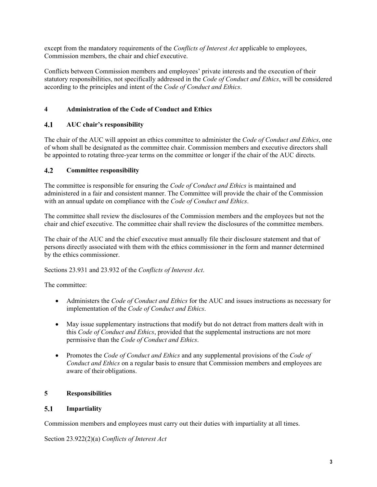except from the mandatory requirements of the *Conflicts of Interest Act* applicable to employees, Commission members, the chair and chief executive.

Conflicts between Commission members and employees' private interests and the execution of their statutory responsibilities, not specifically addressed in the *Code of Conduct and Ethics*, will be considered according to the principles and intent of the *Code of Conduct and Ethics*.

### **4 Administration of the Code of Conduct and Ethics**

#### $4.1$ **AUC chair's responsibility**

The chair of the AUC will appoint an ethics committee to administer the *Code of Conduct and Ethics*, one of whom shall be designated as the committee chair. Commission members and executive directors shall be appointed to rotating three-year terms on the committee or longer if the chair of the AUC directs.

#### $4.2$ **Committee responsibility**

The committee is responsible for ensuring the *Code of Conduct and Ethics* is maintained and administered in a fair and consistent manner. The Committee will provide the chair of the Commission with an annual update on compliance with the *Code of Conduct and Ethics*.

The committee shall review the disclosures of the Commission members and the employees but not the chair and chief executive. The committee chair shall review the disclosures of the committee members.

The chair of the AUC and the chief executive must annually file their disclosure statement and that of persons directly associated with them with the ethics commissioner in the form and manner determined by the ethics commissioner.

Sections 23.931 and 23.932 of the *Conflicts of Interest Act*.

The committee:

- Administers the *Code of Conduct and Ethics* for the AUC and issues instructions as necessary for implementation of the *Code of Conduct and Ethics*.
- May issue supplementary instructions that modify but do not detract from matters dealt with in this *Code of Conduct and Ethics*, provided that the supplemental instructions are not more permissive than the *Code of Conduct and Ethics*.
- Promotes the *Code of Conduct and Ethics* and any supplemental provisions of the *Code of Conduct and Ethics* on a regular basis to ensure that Commission members and employees are aware of their obligations.

#### **5 Responsibilities**

#### $5.1$ **Impartiality**

Commission members and employees must carry out their duties with impartiality at all times.

Section 23.922(2)(a) *Conflicts of Interest Act*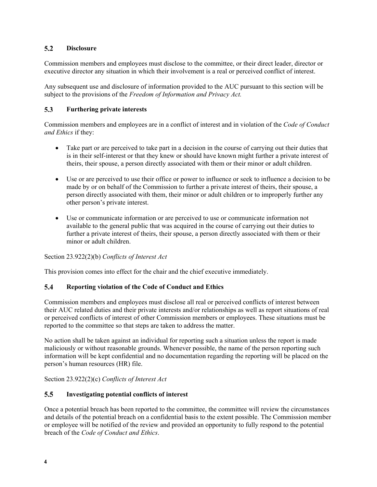#### $5.2$ **Disclosure**

Commission members and employees must disclose to the committee, or their direct leader, director or executive director any situation in which their involvement is a real or perceived conflict of interest.

Any subsequent use and disclosure of information provided to the AUC pursuant to this section will be subject to the provisions of the *Freedom of Information and Privacy Act.* 

#### $5.3$ **Furthering private interests**

Commission members and employees are in a conflict of interest and in violation of the *Code of Conduct and Ethics* if they:

- Take part or are perceived to take part in a decision in the course of carrying out their duties that is in their self-interest or that they knew or should have known might further a private interest of theirs, their spouse, a person directly associated with them or their minor or adult children.
- Use or are perceived to use their office or power to influence or seek to influence a decision to be made by or on behalf of the Commission to further a private interest of theirs, their spouse, a person directly associated with them, their minor or adult children or to improperly further any other person's private interest.
- Use or communicate information or are perceived to use or communicate information not available to the general public that was acquired in the course of carrying out their duties to further a private interest of theirs, their spouse, a person directly associated with them or their minor or adult children.

Section 23.922(2)(b) *Conflicts of Interest Act* 

This provision comes into effect for the chair and the chief executive immediately.

#### **Reporting violation of the Code of Conduct and Ethics**   $5.4$

Commission members and employees must disclose all real or perceived conflicts of interest between their AUC related duties and their private interests and/or relationships as well as report situations of real or perceived conflicts of interest of other Commission members or employees. These situations must be reported to the committee so that steps are taken to address the matter.

No action shall be taken against an individual for reporting such a situation unless the report is made maliciously or without reasonable grounds. Whenever possible, the name of the person reporting such information will be kept confidential and no documentation regarding the reporting will be placed on the person's human resources (HR) file.

Section 23.922(2)(c) *Conflicts of Interest Act* 

#### $5.5$ **Investigating potential conflicts of interest**

Once a potential breach has been reported to the committee, the committee will review the circumstances and details of the potential breach on a confidential basis to the extent possible. The Commission member or employee will be notified of the review and provided an opportunity to fully respond to the potential breach of the *Code of Conduct and Ethics*.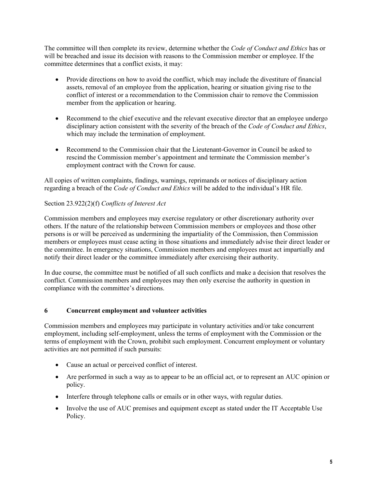The committee will then complete its review, determine whether the *Code of Conduct and Ethics* has or will be breached and issue its decision with reasons to the Commission member or employee. If the committee determines that a conflict exists, it may:

- Provide directions on how to avoid the conflict, which may include the divestiture of financial assets, removal of an employee from the application, hearing or situation giving rise to the conflict of interest or a recommendation to the Commission chair to remove the Commission member from the application or hearing.
- Recommend to the chief executive and the relevant executive director that an employee undergo disciplinary action consistent with the severity of the breach of the *Code of Conduct and Ethics*, which may include the termination of employment.
- Recommend to the Commission chair that the Lieutenant-Governor in Council be asked to rescind the Commission member's appointment and terminate the Commission member's employment contract with the Crown for cause.

All copies of written complaints, findings, warnings, reprimands or notices of disciplinary action regarding a breach of the *Code of Conduct and Ethics* will be added to the individual's HR file.

### Section 23.922(2)(f) *Conflicts of Interest Act*

Commission members and employees may exercise regulatory or other discretionary authority over others. If the nature of the relationship between Commission members or employees and those other persons is or will be perceived as undermining the impartiality of the Commission, then Commission members or employees must cease acting in those situations and immediately advise their direct leader or the committee. In emergency situations, Commission members and employees must act impartially and notify their direct leader or the committee immediately after exercising their authority.

In due course, the committee must be notified of all such conflicts and make a decision that resolves the conflict. Commission members and employees may then only exercise the authority in question in compliance with the committee's directions.

#### **6 Concurrent employment and volunteer activities**

Commission members and employees may participate in voluntary activities and/or take concurrent employment, including self-employment, unless the terms of employment with the Commission or the terms of employment with the Crown, prohibit such employment. Concurrent employment or voluntary activities are not permitted if such pursuits:

- Cause an actual or perceived conflict of interest.
- Are performed in such a way as to appear to be an official act, or to represent an AUC opinion or policy.
- Interfere through telephone calls or emails or in other ways, with regular duties.
- Involve the use of AUC premises and equipment except as stated under the IT Acceptable Use Policy.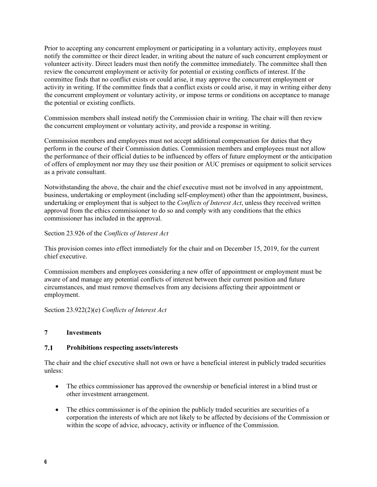Prior to accepting any concurrent employment or participating in a voluntary activity, employees must notify the committee or their direct leader, in writing about the nature of such concurrent employment or volunteer activity. Direct leaders must then notify the committee immediately. The committee shall then review the concurrent employment or activity for potential or existing conflicts of interest. If the committee finds that no conflict exists or could arise, it may approve the concurrent employment or activity in writing. If the committee finds that a conflict exists or could arise, it may in writing either deny the concurrent employment or voluntary activity, or impose terms or conditions on acceptance to manage the potential or existing conflicts.

Commission members shall instead notify the Commission chair in writing. The chair will then review the concurrent employment or voluntary activity, and provide a response in writing.

Commission members and employees must not accept additional compensation for duties that they perform in the course of their Commission duties. Commission members and employees must not allow the performance of their official duties to be influenced by offers of future employment or the anticipation of offers of employment nor may they use their position or AUC premises or equipment to solicit services as a private consultant.

Notwithstanding the above, the chair and the chief executive must not be involved in any appointment, business, undertaking or employment (including self-employment) other than the appointment, business, undertaking or employment that is subject to the *Conflicts of Interest Act*, unless they received written approval from the ethics commissioner to do so and comply with any conditions that the ethics commissioner has included in the approval.

Section 23.926 of the *Conflicts of Interest Act*

This provision comes into effect immediately for the chair and on December 15, 2019, for the current chief executive.

Commission members and employees considering a new offer of appointment or employment must be aware of and manage any potential conflicts of interest between their current position and future circumstances, and must remove themselves from any decisions affecting their appointment or employment.

Section 23.922(2)(e) *Conflicts of Interest Act* 

#### **7 Investments**

#### $7.1$ **Prohibitions respecting assets/interests**

The chair and the chief executive shall not own or have a beneficial interest in publicly traded securities unless:

- The ethics commissioner has approved the ownership or beneficial interest in a blind trust or other investment arrangement.
- The ethics commissioner is of the opinion the publicly traded securities are securities of a corporation the interests of which are not likely to be affected by decisions of the Commission or within the scope of advice, advocacy, activity or influence of the Commission.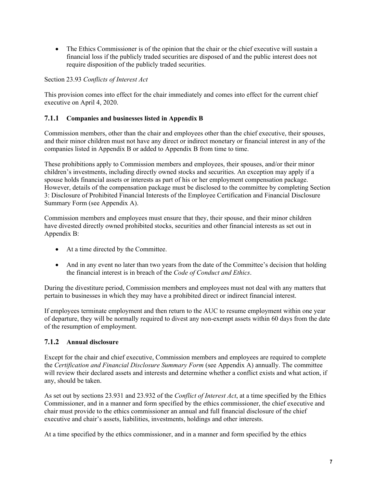• The Ethics Commissioner is of the opinion that the chair or the chief executive will sustain a financial loss if the publicly traded securities are disposed of and the public interest does not require disposition of the publicly traded securities.

Section 23.93 *Conflicts of Interest Act* 

This provision comes into effect for the chair immediately and comes into effect for the current chief executive on April 4, 2020.

#### **7.1.1 Companies and businesses listed in Appendix B**

Commission members, other than the chair and employees other than the chief executive, their spouses, and their minor children must not have any direct or indirect monetary or financial interest in any of the companies listed in Appendix B or added to Appendix B from time to time.

These prohibitions apply to Commission members and employees, their spouses, and/or their minor children's investments, including directly owned stocks and securities. An exception may apply if a spouse holds financial assets or interests as part of his or her employment compensation package. However, details of the compensation package must be disclosed to the committee by completing Section 3: Disclosure of Prohibited Financial Interests of the Employee Certification and Financial Disclosure Summary Form (see Appendix A).

Commission members and employees must ensure that they, their spouse, and their minor children have divested directly owned prohibited stocks, securities and other financial interests as set out in Appendix B:

- At a time directed by the Committee.
- And in any event no later than two years from the date of the Committee's decision that holding the financial interest is in breach of the *Code of Conduct and Ethics*.

During the divestiture period, Commission members and employees must not deal with any matters that pertain to businesses in which they may have a prohibited direct or indirect financial interest.

If employees terminate employment and then return to the AUC to resume employment within one year of departure, they will be normally required to divest any non-exempt assets within 60 days from the date of the resumption of employment.

#### **7.1.2 Annual disclosure**

Except for the chair and chief executive, Commission members and employees are required to complete the *Certification and Financial Disclosure Summary Form* (see Appendix A) annually. The committee will review their declared assets and interests and determine whether a conflict exists and what action, if any, should be taken.

As set out by sections 23.931 and 23.932 of the *Conflict of Interest Act*, at a time specified by the Ethics Commissioner, and in a manner and form specified by the ethics commissioner, the chief executive and chair must provide to the ethics commissioner an annual and full financial disclosure of the chief executive and chair's assets, liabilities, investments, holdings and other interests.

At a time specified by the ethics commissioner, and in a manner and form specified by the ethics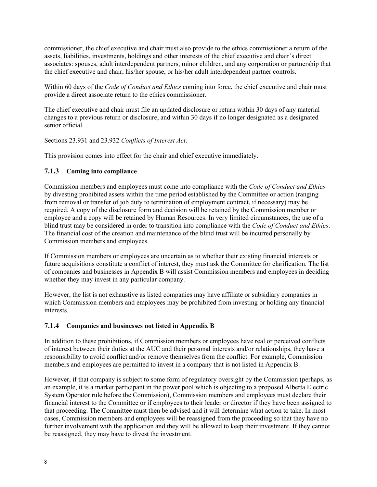commissioner, the chief executive and chair must also provide to the ethics commissioner a return of the assets, liabilities, investments, holdings and other interests of the chief executive and chair's direct associates: spouses, adult interdependent partners, minor children, and any corporation or partnership that the chief executive and chair, his/her spouse, or his/her adult interdependent partner controls.

Within 60 days of the *Code of Conduct and Ethics* coming into force, the chief executive and chair must provide a direct associate return to the ethics commissioner.

The chief executive and chair must file an updated disclosure or return within 30 days of any material changes to a previous return or disclosure, and within 30 days if no longer designated as a designated senior official.

Sections 23.931 and 23.932 *Conflicts of Interest Act*.

This provision comes into effect for the chair and chief executive immediately.

#### **7.1.3 Coming into compliance**

Commission members and employees must come into compliance with the *Code of Conduct and Ethics* by divesting prohibited assets within the time period established by the Committee or action (ranging from removal or transfer of job duty to termination of employment contract, if necessary) may be required. A copy of the disclosure form and decision will be retained by the Commission member or employee and a copy will be retained by Human Resources. In very limited circumstances, the use of a blind trust may be considered in order to transition into compliance with the *Code of Conduct and Ethics*. The financial cost of the creation and maintenance of the blind trust will be incurred personally by Commission members and employees.

If Commission members or employees are uncertain as to whether their existing financial interests or future acquisitions constitute a conflict of interest, they must ask the Committee for clarification. The list of companies and businesses in Appendix B will assist Commission members and employees in deciding whether they may invest in any particular company.

However, the list is not exhaustive as listed companies may have affiliate or subsidiary companies in which Commission members and employees may be prohibited from investing or holding any financial interests.

#### **7.1.4 Companies and businesses not listed in Appendix B**

In addition to these prohibitions, if Commission members or employees have real or perceived conflicts of interest between their duties at the AUC and their personal interests and/or relationships, they have a responsibility to avoid conflict and/or remove themselves from the conflict. For example, Commission members and employees are permitted to invest in a company that is not listed in Appendix B.

However, if that company is subject to some form of regulatory oversight by the Commission (perhaps, as an example, it is a market participant in the power pool which is objecting to a proposed Alberta Electric System Operator rule before the Commission), Commission members and employees must declare their financial interest to the Committee or if employees to their leader or director if they have been assigned to that proceeding. The Committee must then be advised and it will determine what action to take. In most cases, Commission members and employees will be reassigned from the proceeding so that they have no further involvement with the application and they will be allowed to keep their investment. If they cannot be reassigned, they may have to divest the investment.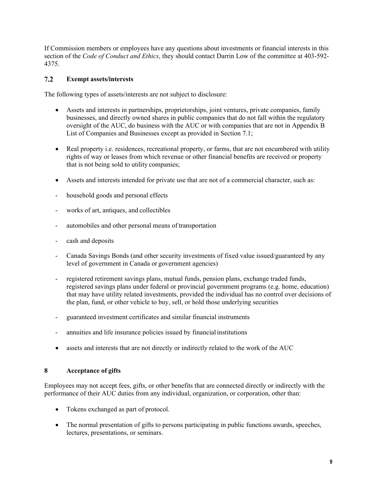If Commission members or employees have any questions about investments or financial interests in this section of the *Code of Conduct and Ethics*, they should contact Darrin Low of the committee at 403-592- 4375.

#### $7.2$ **Exempt assets/interests**

The following types of assets/interests are not subject to disclosure:

- Assets and interests in partnerships, proprietorships, joint ventures, private companies, family businesses, and directly owned shares in public companies that do not fall within the regulatory oversight of the AUC, do business with the AUC or with companies that are not in Appendix B List of Companies and Businesses except as provided in Section 7.1;
- Real property i.e. residences, recreational property, or farms, that are not encumbered with utility rights of way or leases from which revenue or other financial benefits are received or property that is not being sold to utility companies;
- Assets and interests intended for private use that are not of a commercial character, such as:
- household goods and personal effects
- works of art, antiques, and collectibles
- automobiles and other personal means of transportation
- cash and deposits
- Canada Savings Bonds (and other security investments of fixed value issued/guaranteed by any level of government in Canada or government agencies)
- registered retirement savings plans, mutual funds, pension plans, exchange traded funds, registered savings plans under federal or provincial government programs (e.g. home, education) that may have utility related investments, provided the individual has no control over decisions of the plan, fund, or other vehicle to buy, sell, or hold those underlying securities
- guaranteed investment certificates and similar financial instruments
- annuities and life insurance policies issued by financial institutions
- assets and interests that are not directly or indirectly related to the work of the AUC

#### **8 Acceptance of gifts**

Employees may not accept fees, gifts, or other benefits that are connected directly or indirectly with the performance of their AUC duties from any individual, organization, or corporation, other than:

- Tokens exchanged as part of protocol.
- The normal presentation of gifts to persons participating in public functions awards, speeches, lectures, presentations, or seminars.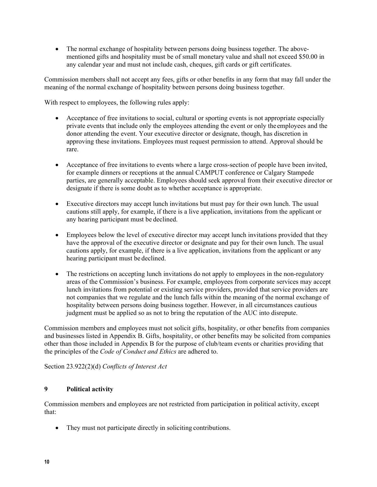• The normal exchange of hospitality between persons doing business together. The abovementioned gifts and hospitality must be of small monetary value and shall not exceed \$50.00 in any calendar year and must not include cash, cheques, gift cards or gift certificates.

Commission members shall not accept any fees, gifts or other benefits in any form that may fall under the meaning of the normal exchange of hospitality between persons doing business together.

With respect to employees, the following rules apply:

- Acceptance of free invitations to social, cultural or sporting events is not appropriate especially private events that include only the employees attending the event or only the employees and the donor attending the event. Your executive director or designate, though, has discretion in approving these invitations. Employees must request permission to attend. Approval should be rare.
- Acceptance of free invitations to events where a large cross-section of people have been invited, for example dinners or receptions at the annual CAMPUT conference or Calgary Stampede parties, are generally acceptable. Employees should seek approval from their executive director or designate if there is some doubt as to whether acceptance is appropriate.
- Executive directors may accept lunch invitations but must pay for their own lunch. The usual cautions still apply, for example, if there is a live application, invitations from the applicant or any hearing participant must be declined.
- Employees below the level of executive director may accept lunch invitations provided that they have the approval of the executive director or designate and pay for their own lunch. The usual cautions apply, for example, if there is a live application, invitations from the applicant or any hearing participant must be declined.
- The restrictions on accepting lunch invitations do not apply to employees in the non-regulatory areas of the Commission's business. For example, employees from corporate services may accept lunch invitations from potential or existing service providers, provided that service providers are not companies that we regulate and the lunch falls within the meaning of the normal exchange of hospitality between persons doing business together. However, in all circumstances cautious judgment must be applied so as not to bring the reputation of the AUC into disrepute.

Commission members and employees must not solicit gifts, hospitality, or other benefits from companies and businesses listed in Appendix B. Gifts, hospitality, or other benefits may be solicited from companies other than those included in Appendix B for the purpose of club/team events or charities providing that the principles of the *Code of Conduct and Ethics* are adhered to.

Section 23.922(2)(d) *Conflicts of Interest Act* 

### **9 Political activity**

Commission members and employees are not restricted from participation in political activity, except that:

• They must not participate directly in soliciting contributions.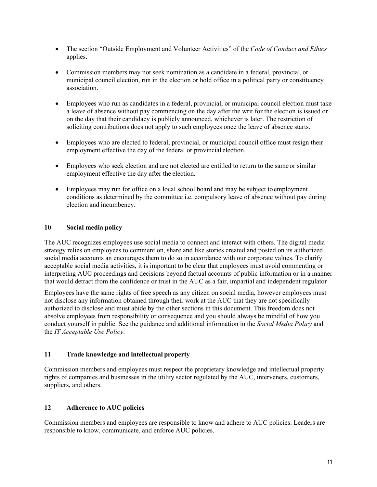- The section "Outside Employment and Volunteer Activities" of the *Code of Conduct and Ethics* applies.
- Commission members may not seek nomination as a candidate in a federal, provincial, or municipal council election, run in the election or hold office in a political party or constituency association.
- Employees who run as candidates in a federal, provincial, or municipal council election must take a leave of absence without pay commencing on the day after the writ for the election is issued or on the day that their candidacy is publicly announced, whichever is later. The restriction of soliciting contributions does not apply to such employees once the leave of absence starts.
- Employees who are elected to federal, provincial, or municipal council office must resign their employment effective the day of the federal or provincial election.
- Employees who seek election and are not elected are entitled to return to the same or similar employment effective the day after the election.
- Employees may run for office on a local school board and may be subject to employment conditions as determined by the committee i.e. compulsory leave of absence without pay during election and incumbency.

#### **10 Social media policy**

The AUC recognizes employees use social media to connect and interact with others. The digital media strategy relies on employees to comment on, share and like stories created and posted on its authorized social media accounts an encourages them to do so in accordance with our corporate values. To clarify acceptable social media activities, it is important to be clear that employees must avoid commenting or interpreting AUC proceedings and decisions beyond factual accounts of public information or in a manner that would detract from the confidence or trust in the AUC as a fair, impartial and independent regulator

Employees have the same rights of free speech as any citizen on social media, however employees must not disclose any information obtained through their work at the AUC that they are not specifically authorized to disclose and must abide by the other sections in this document. This freedom does not absolve employees from responsibility or consequence and you should always be mindful of how you conduct yourself in public. See the guidance and additional information in the *Social Media Policy* and the *IT Acceptable Use Policy*.

#### **11 Trade knowledge and intellectual property**

Commission members and employees must respect the proprietary knowledge and intellectual property rights of companies and businesses in the utility sector regulated by the AUC, interveners, customers, suppliers, and others.

#### **12 Adherence to AUC policies**

Commission members and employees are responsible to know and adhere to AUC policies. Leaders are responsible to know, communicate, and enforce AUC policies.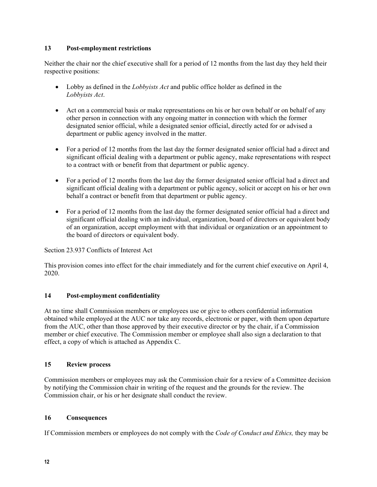#### **13 Post-employment restrictions**

Neither the chair nor the chief executive shall for a period of 12 months from the last day they held their respective positions:

- Lobby as defined in the *Lobbyists Act* and public office holder as defined in the *Lobbyists Act*.
- Act on a commercial basis or make representations on his or her own behalf or on behalf of any other person in connection with any ongoing matter in connection with which the former designated senior official, while a designated senior official, directly acted for or advised a department or public agency involved in the matter.
- For a period of 12 months from the last day the former designated senior official had a direct and significant official dealing with a department or public agency, make representations with respect to a contract with or benefit from that department or public agency.
- For a period of 12 months from the last day the former designated senior official had a direct and significant official dealing with a department or public agency, solicit or accept on his or her own behalf a contract or benefit from that department or public agency.
- For a period of 12 months from the last day the former designated senior official had a direct and significant official dealing with an individual, organization, board of directors or equivalent body of an organization, accept employment with that individual or organization or an appointment to the board of directors or equivalent body.

Section 23.937 Conflicts of Interest Act

This provision comes into effect for the chair immediately and for the current chief executive on April 4, 2020.

#### **14 Post-employment confidentiality**

At no time shall Commission members or employees use or give to others confidential information obtained while employed at the AUC nor take any records, electronic or paper, with them upon departure from the AUC, other than those approved by their executive director or by the chair, if a Commission member or chief executive. The Commission member or employee shall also sign a declaration to that effect, a copy of which is attached as Appendix C.

#### **15 Review process**

Commission members or employees may ask the Commission chair for a review of a Committee decision by notifying the Commission chair in writing of the request and the grounds for the review. The Commission chair, or his or her designate shall conduct the review.

#### **16 Consequences**

If Commission members or employees do not comply with the *Code of Conduct and Ethics,* they may be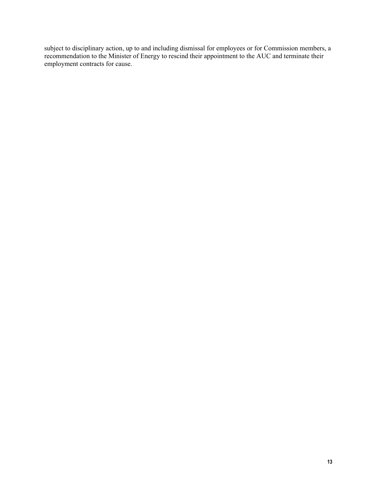subject to disciplinary action, up to and including dismissal for employees or for Commission members, a recommendation to the Minister of Energy to rescind their appointment to the AUC and terminate their employment contracts for cause.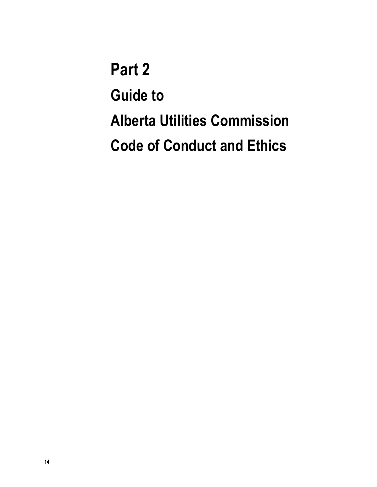**Part 2 Guide to Alberta Utilities Commission Code of Conduct and Ethics**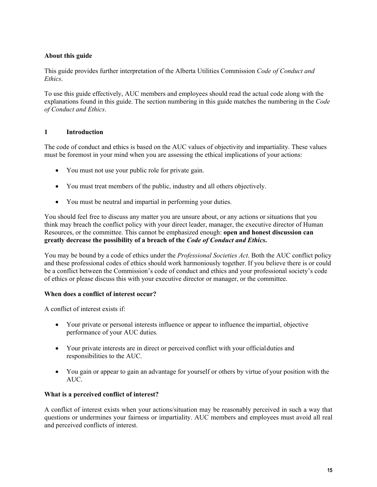### **About this guide**

This guide provides further interpretation of the Alberta Utilities Commission *Code of Conduct and Ethics*.

To use this guide effectively, AUC members and employees should read the actual code along with the explanations found in this guide. The section numbering in this guide matches the numbering in the *Code of Conduct and Ethics*.

#### **1 Introduction**

The code of conduct and ethics is based on the AUC values of objectivity and impartiality. These values must be foremost in your mind when you are assessing the ethical implications of your actions:

- You must not use your public role for private gain.
- You must treat members of the public, industry and all others objectively.
- You must be neutral and impartial in performing your duties.

You should feel free to discuss any matter you are unsure about, or any actions or situations that you think may breach the conflict policy with your direct leader, manager, the executive director of Human Resources, or the committee. This cannot be emphasized enough: **open and honest discussion can greatly decrease the possibility of a breach of the** *Code of Conduct and Ethics***.** 

You may be bound by a code of ethics under the *Professional Societies Act*. Both the AUC conflict policy and these professional codes of ethics should work harmoniously together. If you believe there is or could be a conflict between the Commission's code of conduct and ethics and your professional society's code of ethics or please discuss this with your executive director or manager, or the committee.

#### **When does a conflict of interest occur?**

A conflict of interest exists if:

- Your private or personal interests influence or appear to influence the impartial, objective performance of your AUC duties.
- Your private interests are in direct or perceived conflict with your official duties and responsibilities to the AUC.
- You gain or appear to gain an advantage for yourself or others by virtue of your position with the AUC.

#### **What is a perceived conflict of interest?**

A conflict of interest exists when your actions/situation may be reasonably perceived in such a way that questions or undermines your fairness or impartiality. AUC members and employees must avoid all real and perceived conflicts of interest.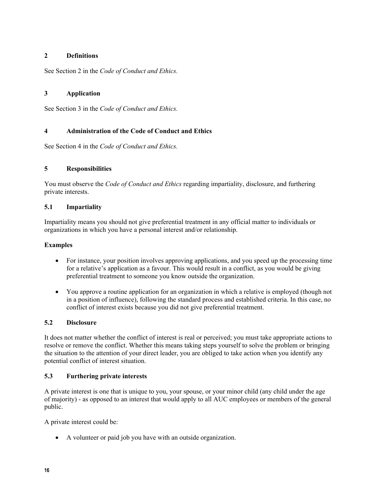#### **2 Definitions**

See Section 2 in the *Code of Conduct and Ethics.* 

### **3 Application**

See Section 3 in the *Code of Conduct and Ethics.* 

### **4 Administration of the Code of Conduct and Ethics**

See Section 4 in the *Code of Conduct and Ethics.* 

#### **5 Responsibilities**

You must observe the *Code of Conduct and Ethics* regarding impartiality, disclosure, and furthering private interests.

#### **5.1 Impartiality**

Impartiality means you should not give preferential treatment in any official matter to individuals or organizations in which you have a personal interest and/or relationship.

#### **Examples**

- For instance, your position involves approving applications, and you speed up the processing time for a relative's application as a favour. This would result in a conflict, as you would be giving preferential treatment to someone you know outside the organization.
- You approve a routine application for an organization in which a relative is employed (though not in a position of influence), following the standard process and established criteria. In this case, no conflict of interest exists because you did not give preferential treatment.

#### **5.2 Disclosure**

It does not matter whether the conflict of interest is real or perceived; you must take appropriate actions to resolve or remove the conflict. Whether this means taking steps yourself to solve the problem or bringing the situation to the attention of your direct leader, you are obliged to take action when you identify any potential conflict of interest situation.

#### **5.3 Furthering private interests**

A private interest is one that is unique to you, your spouse, or your minor child (any child under the age of majority) - as opposed to an interest that would apply to all AUC employees or members of the general public.

A private interest could be:

A volunteer or paid job you have with an outside organization.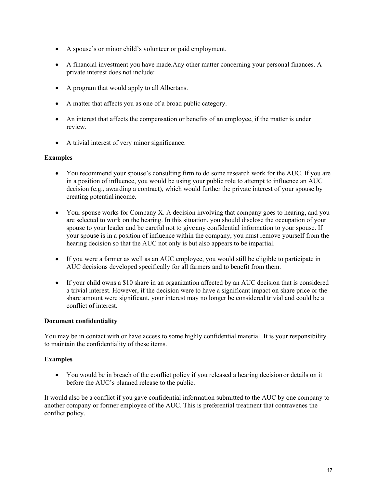- A spouse's or minor child's volunteer or paid employment.
- A financial investment you have made.Any other matter concerning your personal finances. A private interest does not include:
- A program that would apply to all Albertans.
- A matter that affects you as one of a broad public category.
- An interest that affects the compensation or benefits of an employee, if the matter is under review.
- A trivial interest of very minor significance.

#### **Examples**

- You recommend your spouse's consulting firm to do some research work for the AUC. If you are in a position of influence, you would be using your public role to attempt to influence an AUC decision (e.g., awarding a contract), which would further the private interest of your spouse by creating potential income.
- Your spouse works for Company X. A decision involving that company goes to hearing, and you are selected to work on the hearing. In this situation, you should disclose the occupation of your spouse to your leader and be careful not to give any confidential information to your spouse. If your spouse is in a position of influence within the company, you must remove yourself from the hearing decision so that the AUC not only is but also appears to be impartial.
- If you were a farmer as well as an AUC employee, you would still be eligible to participate in AUC decisions developed specifically for all farmers and to benefit from them.
- If your child owns a \$10 share in an organization affected by an AUC decision that is considered a trivial interest. However, if the decision were to have a significant impact on share price or the share amount were significant, your interest may no longer be considered trivial and could be a conflict of interest.

#### **Document confidentiality**

You may be in contact with or have access to some highly confidential material. It is your responsibility to maintain the confidentiality of these items.

#### **Examples**

 You would be in breach of the conflict policy if you released a hearing decision or details on it before the AUC's planned release to the public.

It would also be a conflict if you gave confidential information submitted to the AUC by one company to another company or former employee of the AUC. This is preferential treatment that contravenes the conflict policy.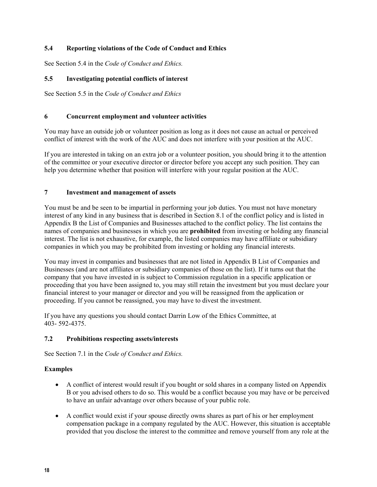#### **5.4 Reporting violations of the Code of Conduct and Ethics**

See Section 5.4 in the *Code of Conduct and Ethics.* 

#### **5.5 Investigating potential conflicts of interest**

See Section 5.5 in the *Code of Conduct and Ethics* 

#### **6 Concurrent employment and volunteer activities**

You may have an outside job or volunteer position as long as it does not cause an actual or perceived conflict of interest with the work of the AUC and does not interfere with your position at the AUC.

If you are interested in taking on an extra job or a volunteer position, you should bring it to the attention of the committee or your executive director or director before you accept any such position. They can help you determine whether that position will interfere with your regular position at the AUC.

#### **7 Investment and management of assets**

You must be and be seen to be impartial in performing your job duties. You must not have monetary interest of any kind in any business that is described in Section 8.1 of the conflict policy and is listed in Appendix B the List of Companies and Businesses attached to the conflict policy. The list contains the names of companies and businesses in which you are **prohibited** from investing or holding any financial interest. The list is not exhaustive, for example, the listed companies may have affiliate or subsidiary companies in which you may be prohibited from investing or holding any financial interests.

You may invest in companies and businesses that are not listed in Appendix B List of Companies and Businesses (and are not affiliates or subsidiary companies of those on the list). If it turns out that the company that you have invested in is subject to Commission regulation in a specific application or proceeding that you have been assigned to, you may still retain the investment but you must declare your financial interest to your manager or director and you will be reassigned from the application or proceeding. If you cannot be reassigned, you may have to divest the investment.

If you have any questions you should contact Darrin Low of the Ethics Committee, at 403- 592-4375.

#### **7.2 Prohibitions respecting assets/interests**

See Section 7.1 in the *Code of Conduct and Ethics.* 

#### **Examples**

- A conflict of interest would result if you bought or sold shares in a company listed on Appendix B or you advised others to do so. This would be a conflict because you may have or be perceived to have an unfair advantage over others because of your public role.
- A conflict would exist if your spouse directly owns shares as part of his or her employment compensation package in a company regulated by the AUC. However, this situation is acceptable provided that you disclose the interest to the committee and remove yourself from any role at the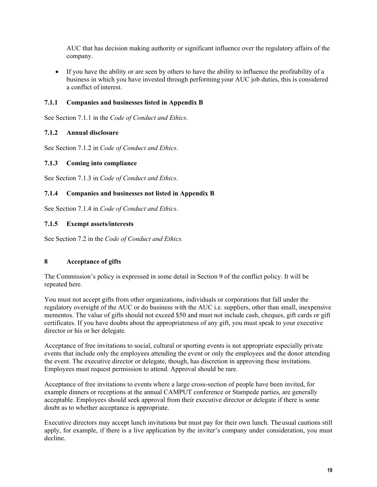AUC that has decision making authority or significant influence over the regulatory affairs of the company.

 If you have the ability or are seen by others to have the ability to influence the profitability of a business in which you have invested through performing your AUC job duties, this is considered a conflict of interest.

#### **7.1.1 Companies and businesses listed in Appendix B**

See Section 7.1.1 in the *Code of Conduct and Ethics*.

#### **7.1.2 Annual disclosure**

See Section 7.1.2 in *Code of Conduct and Ethics*.

#### **7.1.3 Coming into compliance**

See Section 7.1.3 in *Code of Conduct and Ethics*.

#### **7.1.4 Companies and businesses not listed in Appendix B**

See Section 7.1.4 in *Code of Conduct and Ethics*.

#### **7.1.5 Exempt assets/interests**

See Section 7.2 in the *Code of Conduct and Ethics.* 

#### **8 Acceptance of gifts**

The Commission's policy is expressed in some detail in Section 9 of the conflict policy. It will be repeated here.

You must not accept gifts from other organizations, individuals or corporations that fall under the regulatory oversight of the AUC or do business with the AUC i.e. suppliers, other than small, inexpensive mementos. The value of gifts should not exceed \$50 and must not include cash, cheques, gift cards or gift certificates. If you have doubts about the appropriateness of any gift, you must speak to your executive director or his or her delegate.

Acceptance of free invitations to social, cultural or sporting events is not appropriate especially private events that include only the employees attending the event or only the employees and the donor attending the event. The executive director or delegate, though, has discretion in approving these invitations. Employees must request permission to attend. Approval should be rare.

Acceptance of free invitations to events where a large cross-section of people have been invited, for example dinners or receptions at the annual CAMPUT conference or Stampede parties, are generally acceptable. Employees should seek approval from their executive director or delegate if there is some doubt as to whether acceptance is appropriate.

Executive directors may accept lunch invitations but must pay for their own lunch. The usual cautions still apply, for example, if there is a live application by the inviter's company under consideration, you must decline.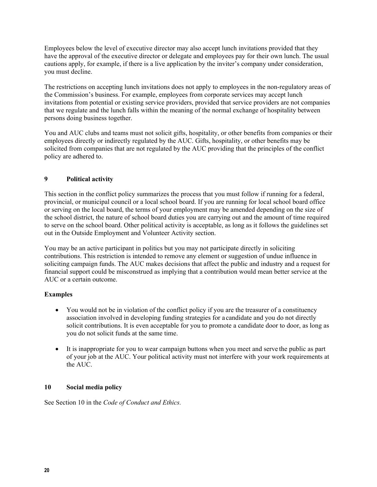Employees below the level of executive director may also accept lunch invitations provided that they have the approval of the executive director or delegate and employees pay for their own lunch. The usual cautions apply, for example, if there is a live application by the inviter's company under consideration, you must decline.

The restrictions on accepting lunch invitations does not apply to employees in the non-regulatory areas of the Commission's business. For example, employees from corporate services may accept lunch invitations from potential or existing service providers, provided that service providers are not companies that we regulate and the lunch falls within the meaning of the normal exchange of hospitality between persons doing business together.

You and AUC clubs and teams must not solicit gifts, hospitality, or other benefits from companies or their employees directly or indirectly regulated by the AUC. Gifts, hospitality, or other benefits may be solicited from companies that are not regulated by the AUC providing that the principles of the conflict policy are adhered to.

### **9 Political activity**

This section in the conflict policy summarizes the process that you must follow if running for a federal, provincial, or municipal council or a local school board. If you are running for local school board office or serving on the local board, the terms of your employment may be amended depending on the size of the school district, the nature of school board duties you are carrying out and the amount of time required to serve on the school board. Other political activity is acceptable, as long as it follows the guidelines set out in the Outside Employment and Volunteer Activity section.

You may be an active participant in politics but you may not participate directly in soliciting contributions. This restriction is intended to remove any element or suggestion of undue influence in soliciting campaign funds. The AUC makes decisions that affect the public and industry and a request for financial support could be misconstrued as implying that a contribution would mean better service at the AUC or a certain outcome.

#### **Examples**

- You would not be in violation of the conflict policy if you are the treasurer of a constituency association involved in developing funding strategies for a candidate and you do not directly solicit contributions. It is even acceptable for you to promote a candidate door to door, as long as you do not solicit funds at the same time.
- It is inappropriate for you to wear campaign buttons when you meet and serve the public as part of your job at the AUC. Your political activity must not interfere with your work requirements at the AUC.

#### **10 Social media policy**

See Section 10 in the *Code of Conduct and Ethics.*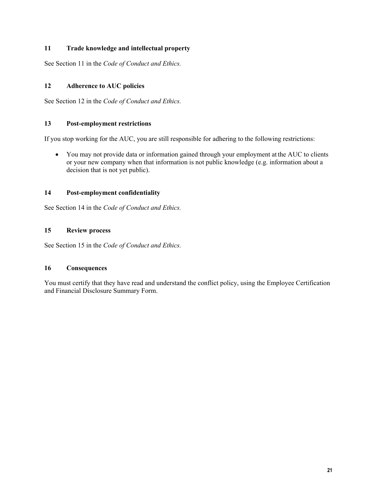### **11 Trade knowledge and intellectual property**

See Section 11 in the *Code of Conduct and Ethics.* 

#### **12 Adherence to AUC policies**

See Section 12 in the *Code of Conduct and Ethics.* 

#### **13 Post-employment restrictions**

If you stop working for the AUC, you are still responsible for adhering to the following restrictions:

 You may not provide data or information gained through your employment at the AUC to clients or your new company when that information is not public knowledge (e.g. information about a decision that is not yet public).

#### **14 Post-employment confidentiality**

See Section 14 in the *Code of Conduct and Ethics.* 

#### **15 Review process**

See Section 15 in the *Code of Conduct and Ethics.* 

#### **16 Consequences**

You must certify that they have read and understand the conflict policy, using the Employee Certification and Financial Disclosure Summary Form.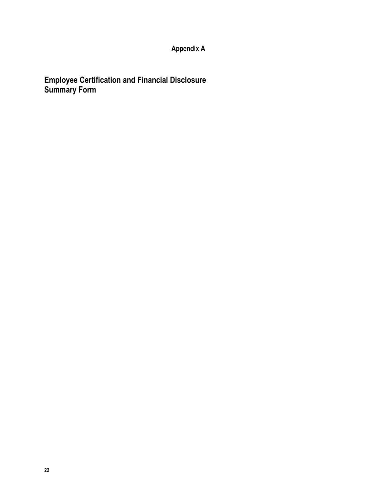## **Appendix A**

**Employee Certification and Financial Disclosure Summary Form**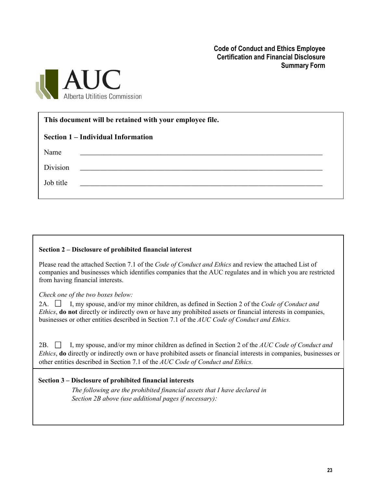**Code of Conduct and Ethics Employee Certification and Financial Disclosure Summary Form**



| This document will be retained with your employee file. |                                                                                                                        |  |  |  |  |  |
|---------------------------------------------------------|------------------------------------------------------------------------------------------------------------------------|--|--|--|--|--|
| Section 1 – Individual Information                      |                                                                                                                        |  |  |  |  |  |
| Name                                                    | <u> 1989 - Johann Stoff, amerikansk politiker (d. 1989)</u>                                                            |  |  |  |  |  |
| Division                                                |                                                                                                                        |  |  |  |  |  |
| Job title                                               | <u> 1989 - Johann Stein, mars and de Britain Bourgest and Stein Bourgest and Stein Bourgest and Stein Bourgest and</u> |  |  |  |  |  |
|                                                         |                                                                                                                        |  |  |  |  |  |

#### **Section 2 – Disclosure of prohibited financial interest**

Please read the attached Section 7.1 of the *Code of Conduct and Ethics* and review the attached List of companies and businesses which identifies companies that the AUC regulates and in which you are restricted from having financial interests.

*Check one of the two boxes below:* 

2A.  $\Box$  I, my spouse, and/or my minor children, as defined in Section 2 of the *Code of Conduct and Ethics*, **do not** directly or indirectly own or have any prohibited assets or financial interests in companies, businesses or other entities described in Section 7.1 of the *AUC Code of Conduct and Ethics.*

2B. I, my spouse, and/or my minor children as defined in Section 2 of the *AUC Code of Conduct and Ethics*, **do** directly or indirectly own or have prohibited assets or financial interests in companies, businesses or other entities described in Section 7.1 of the *AUC Code of Conduct and Ethics.*

#### **Section 3 – Disclosure of prohibited financial interests**

*The following are the prohibited financial assets that I have declared in Section 2B above (use additional pages if necessary):*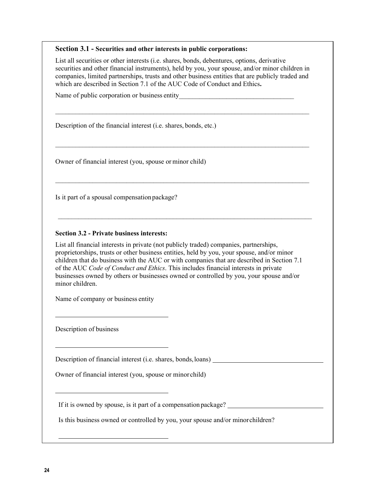#### **Section 3.1 - Securities and other interests in public corporations:**

List all securities or other interests (i.e. shares, bonds, debentures, options, derivative securities and other financial instruments), held by you, your spouse, and/or minor children in companies, limited partnerships, trusts and other business entities that are publicly traded and which are described in Section 7.1 of the AUC Code of Conduct and Ethics**.**

 $\mathcal{L}_\text{max} = \frac{1}{2} \sum_{i=1}^n \mathcal{L}_\text{max}(\mathbf{x}_i - \mathbf{y}_i)$ 

 $\mathcal{L}_\text{max}$  and  $\mathcal{L}_\text{max}$  and  $\mathcal{L}_\text{max}$  and  $\mathcal{L}_\text{max}$  and  $\mathcal{L}_\text{max}$  and  $\mathcal{L}_\text{max}$ 

 $\mathcal{L}_\text{max} = \frac{1}{2} \sum_{i=1}^n \mathcal{L}_\text{max}(\mathbf{x}_i - \mathbf{y}_i)$ 

 $\mathcal{L}_\text{max} = \frac{1}{2} \sum_{i=1}^n \mathcal{L}_\text{max}(\mathbf{x}_i - \mathbf{y}_i)$ 

Name of public corporation or business entity

Description of the financial interest (i.e. shares, bonds, etc.)

Owner of financial interest (you, spouse or minor child)

Is it part of a spousal compensation package?

#### **Section 3.2 - Private business interests:**

List all financial interests in private (not publicly traded) companies, partnerships, proprietorships, trusts or other business entities, held by you, your spouse, and/or minor children that do business with the AUC or with companies that are described in Section 7.1 of the AUC *Code of Conduct and Ethics*. This includes financial interests in private businesses owned by others or businesses owned or controlled by you, your spouse and/or minor children.

Name of company or business entity

Description of business

l

l

l

l

Description of financial interest (i.e. shares, bonds, loans)

Owner of financial interest (you, spouse or minor child)

If it is owned by spouse, is it part of a compensation package?

Is this business owned or controlled by you, your spouse and/or minor children?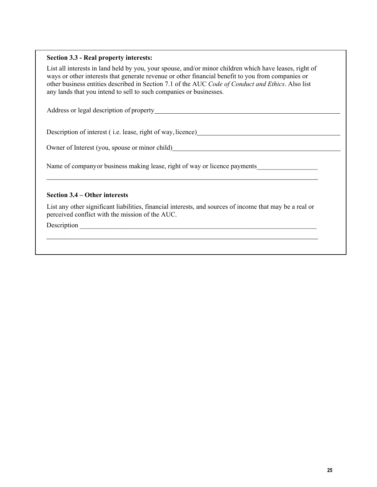#### **Section 3.3 - Real property interests:**

List all interests in land held by you, your spouse, and/or minor children which have leases, right of ways or other interests that generate revenue or other financial benefit to you from companies or other business entities described in Section 7.1 of the AUC *Code of Conduct and Ethics*. Also list any lands that you intend to sell to such companies or businesses.

Address or legal description of property here are all the states of property and the states of  $\mu$ 

Description of interest ( i.e. lease, right of way, licence)

Owner of Interest (you, spouse or minor child)

Name of company or business making lease, right of way or licence payments

#### **Section 3.4 – Other interests**

List any other significant liabilities, financial interests, and sources of income that may be a real or perceived conflict with the mission of the AUC.

\_\_\_\_\_\_\_\_\_\_\_\_\_\_\_\_\_\_\_\_\_\_\_\_\_\_\_\_\_\_\_\_\_\_\_\_\_\_\_\_\_\_\_\_\_\_\_\_\_\_\_\_\_\_\_\_\_\_\_\_\_\_\_\_\_\_\_\_\_\_\_\_\_\_\_\_\_\_\_\_\_\_\_\_\_\_\_\_

\_\_\_\_\_\_\_\_\_\_\_\_\_\_\_\_\_\_\_\_\_\_\_\_\_\_\_\_\_\_\_\_\_\_\_\_\_\_\_\_\_\_\_\_\_\_\_\_\_\_\_\_\_\_\_\_\_\_\_\_\_\_\_\_\_\_\_\_\_\_\_\_\_\_\_\_\_\_\_\_\_\_\_\_\_\_\_\_

Description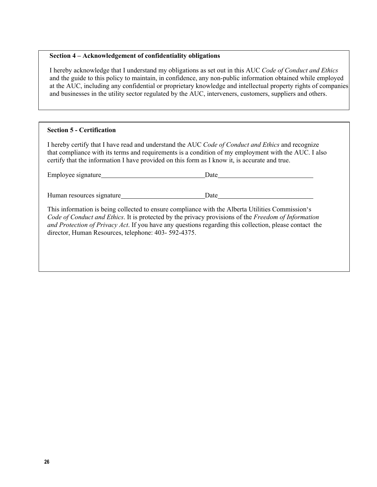#### **Section 4 – Acknowledgement of confidentiality obligations**

I hereby acknowledge that I understand my obligations as set out in this AUC *Code of Conduct and Ethics* and the guide to this policy to maintain, in confidence, any non-public information obtained while employed at the AUC, including any confidential or proprietary knowledge and intellectual property rights of companies and businesses in the utility sector regulated by the AUC, interveners, customers, suppliers and others.

#### **Section 5 - Certification**

I hereby certify that I have read and understand the AUC *Code of Conduct and Ethics* and recognize that compliance with its terms and requirements is a condition of my employment with the AUC. I also certify that the information I have provided on this form as I know it, is accurate and true.

| Employee signature_       | Date |  |
|---------------------------|------|--|
|                           |      |  |
| Human resources signature | Date |  |

This information is being collected to ensure compliance with the Alberta Utilities Commission's *Code of Conduct and Ethics*. It is protected by the privacy provisions of the *Freedom of Information and Protection of Privacy Act*. If you have any questions regarding this collection, please contact the director, Human Resources, telephone: 403- 592-4375.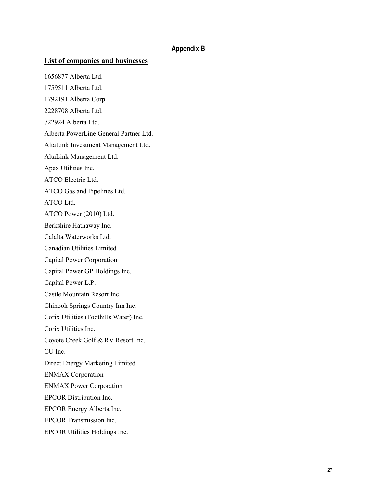#### **Appendix B**

#### **List of companies and businesses**

1656877 Alberta Ltd. 1759511 Alberta Ltd. 1792191 Alberta Corp. 2228708 Alberta Ltd. 722924 Alberta Ltd. Alberta PowerLine General Partner Ltd. AltaLink Investment Management Ltd. AltaLink Management Ltd. Apex Utilities Inc. ATCO Electric Ltd. ATCO Gas and Pipelines Ltd. ATCO Ltd. ATCO Power (2010) Ltd. Berkshire Hathaway Inc. Calalta Waterworks Ltd. Canadian Utilities Limited Capital Power Corporation Capital Power GP Holdings Inc. Capital Power L.P. Castle Mountain Resort Inc. Chinook Springs Country Inn Inc. Corix Utilities (Foothills Water) Inc. Corix Utilities Inc. Coyote Creek Golf & RV Resort Inc. CU Inc. Direct Energy Marketing Limited ENMAX Corporation ENMAX Power Corporation EPCOR Distribution Inc. EPCOR Energy Alberta Inc. EPCOR Transmission Inc. EPCOR Utilities Holdings Inc.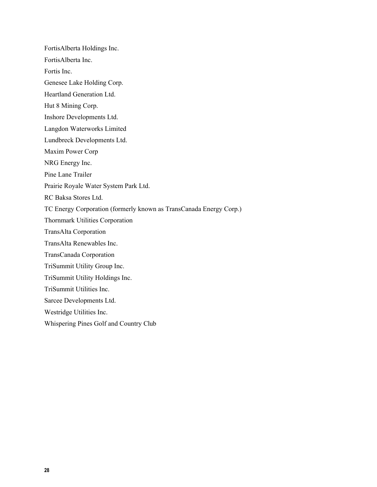FortisAlberta Holdings Inc. FortisAlberta Inc. Fortis Inc. Genesee Lake Holding Corp. Heartland Generation Ltd. Hut 8 Mining Corp. Inshore Developments Ltd. Langdon Waterworks Limited Lundbreck Developments Ltd. Maxim Power Corp NRG Energy Inc. Pine Lane Trailer Prairie Royale Water System Park Ltd. RC Baksa Stores Ltd. TC Energy Corporation (formerly known as TransCanada Energy Corp.) Thornmark Utilities Corporation TransAlta Corporation TransAlta Renewables Inc. TransCanada Corporation TriSummit Utility Group Inc. TriSummit Utility Holdings Inc. TriSummit Utilities Inc. Sarcee Developments Ltd. Westridge Utilities Inc. Whispering Pines Golf and Country Club